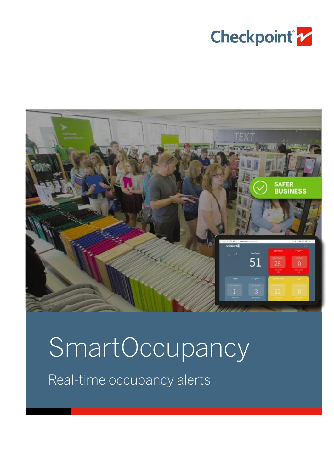



# SmartOccupancy Real-time occupancy alerts